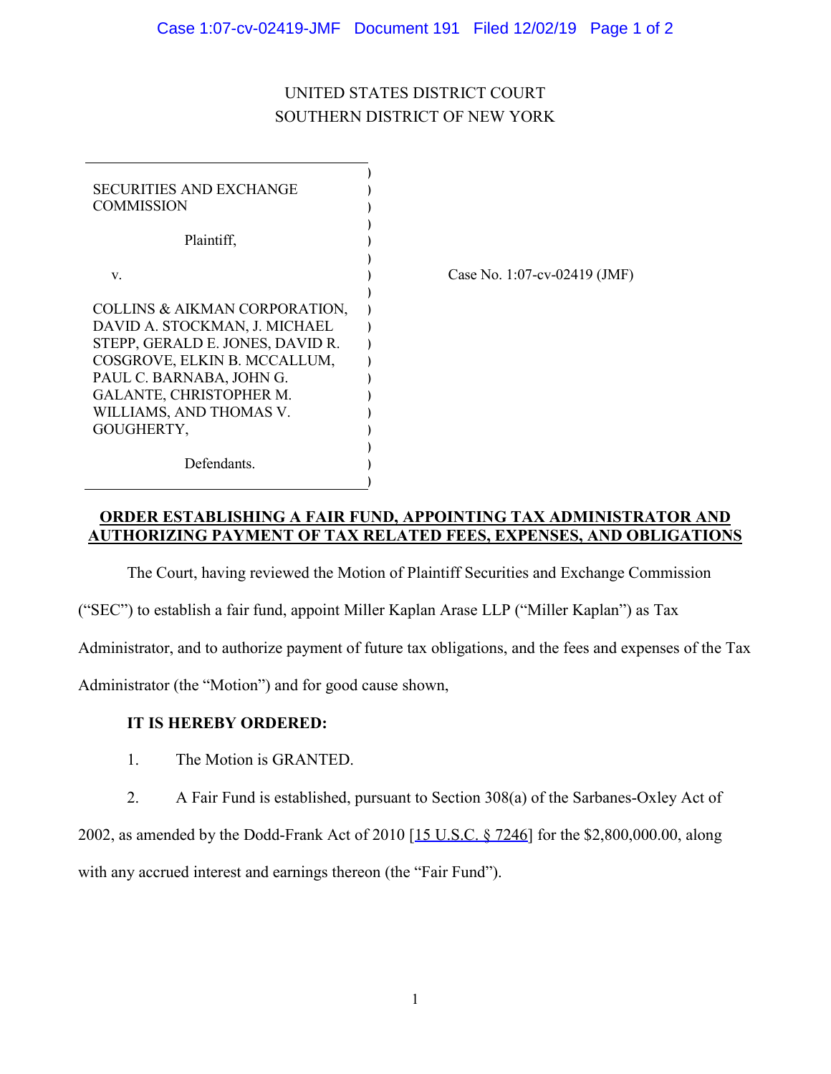## UNITED STATES DISTRICT COURT SOUTHERN DISTRICT OF NEW YORK

| <b>SECURITIES AND EXCHANGE</b><br><b>COMMISSION</b>                                                                                                                                                                                |                              |
|------------------------------------------------------------------------------------------------------------------------------------------------------------------------------------------------------------------------------------|------------------------------|
| Plaintiff,                                                                                                                                                                                                                         |                              |
| V.                                                                                                                                                                                                                                 | Case No. 1:07-cv-02419 (JMF) |
| COLLINS & AIKMAN CORPORATION,<br>DAVID A. STOCKMAN, J. MICHAEL<br>STEPP, GERALD E. JONES, DAVID R.<br>COSGROVE, ELKIN B. MCCALLUM,<br>PAUL C. BARNABA, JOHN G.<br>GALANTE, CHRISTOPHER M.<br>WILLIAMS, AND THOMAS V.<br>GOUGHERTY, |                              |
| Defendants.                                                                                                                                                                                                                        |                              |

**ORDER ESTABLISHING A FAIR FUND, APPOINTING TAX ADMINISTRATOR AND AUTHORIZING PAYMENT OF TAX RELATED FEES, EXPENSES, AND OBLIGATIONS**

The Court, having reviewed the Motion of Plaintiff Securities and Exchange Commission

("SEC") to establish a fair fund, appoint Miller Kaplan Arase LLP ("Miller Kaplan") as Tax

Administrator, and to authorize payment of future tax obligations, and the fees and expenses of the Tax

Administrator (the "Motion") and for good cause shown,

## **IT IS HEREBY ORDERED:**

- 1. The Motion is GRANTED.
- 2. A Fair Fund is established, pursuant to Section 308(a) of the Sarbanes-Oxley Act of

2002, as amended by the Dodd-Frank Act of 2010 [15 U.S.C. § 7246] for the \$2,800,000.00, along with any accrued interest and earnings thereon (the "Fair Fund").